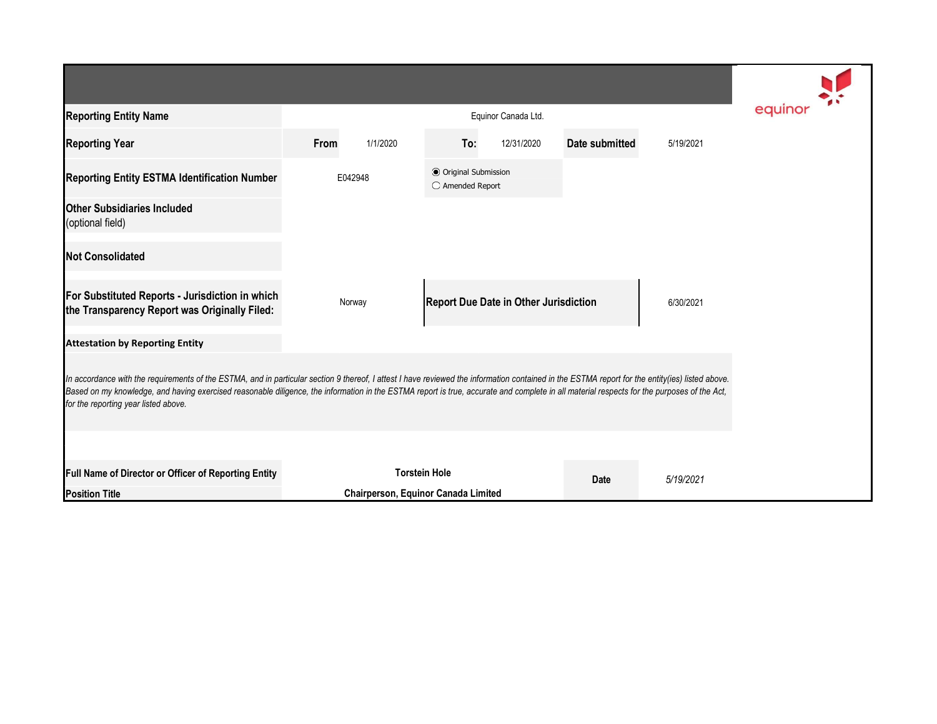| <b>Reporting Entity Name</b>                                                                                                                                                                                                                                                                                                                                                                                                          |                      | equinor                             |                                              |            |                |           |  |  |  |  |  |
|---------------------------------------------------------------------------------------------------------------------------------------------------------------------------------------------------------------------------------------------------------------------------------------------------------------------------------------------------------------------------------------------------------------------------------------|----------------------|-------------------------------------|----------------------------------------------|------------|----------------|-----------|--|--|--|--|--|
| <b>Reporting Year</b>                                                                                                                                                                                                                                                                                                                                                                                                                 | From                 | 1/1/2020                            | To:                                          | 12/31/2020 | Date submitted | 5/19/2021 |  |  |  |  |  |
| <b>Reporting Entity ESTMA Identification Number</b>                                                                                                                                                                                                                                                                                                                                                                                   | E042948              |                                     | ● Original Submission<br>○ Amended Report    |            |                |           |  |  |  |  |  |
| <b>Other Subsidiaries Included</b><br>(optional field)                                                                                                                                                                                                                                                                                                                                                                                |                      |                                     |                                              |            |                |           |  |  |  |  |  |
| <b>Not Consolidated</b>                                                                                                                                                                                                                                                                                                                                                                                                               |                      |                                     |                                              |            |                |           |  |  |  |  |  |
| For Substituted Reports - Jurisdiction in which<br>the Transparency Report was Originally Filed:                                                                                                                                                                                                                                                                                                                                      |                      | Norway                              | <b>Report Due Date in Other Jurisdiction</b> |            |                | 6/30/2021 |  |  |  |  |  |
| <b>Attestation by Reporting Entity</b>                                                                                                                                                                                                                                                                                                                                                                                                |                      |                                     |                                              |            |                |           |  |  |  |  |  |
| In accordance with the requirements of the ESTMA, and in particular section 9 thereof, I attest I have reviewed the information contained in the ESTMA report for the entity(ies) listed above.<br>Based on my knowledge, and having exercised reasonable diligence, the information in the ESTMA report is true, accurate and complete in all material respects for the purposes of the Act,<br>for the reporting year listed above. |                      |                                     |                                              |            |                |           |  |  |  |  |  |
|                                                                                                                                                                                                                                                                                                                                                                                                                                       |                      |                                     |                                              |            |                |           |  |  |  |  |  |
| Full Name of Director or Officer of Reporting Entity                                                                                                                                                                                                                                                                                                                                                                                  | <b>Torstein Hole</b> |                                     |                                              |            | Date           | 5/19/2021 |  |  |  |  |  |
| <b>Position Title</b>                                                                                                                                                                                                                                                                                                                                                                                                                 |                      | Chairperson, Equinor Canada Limited |                                              |            |                |           |  |  |  |  |  |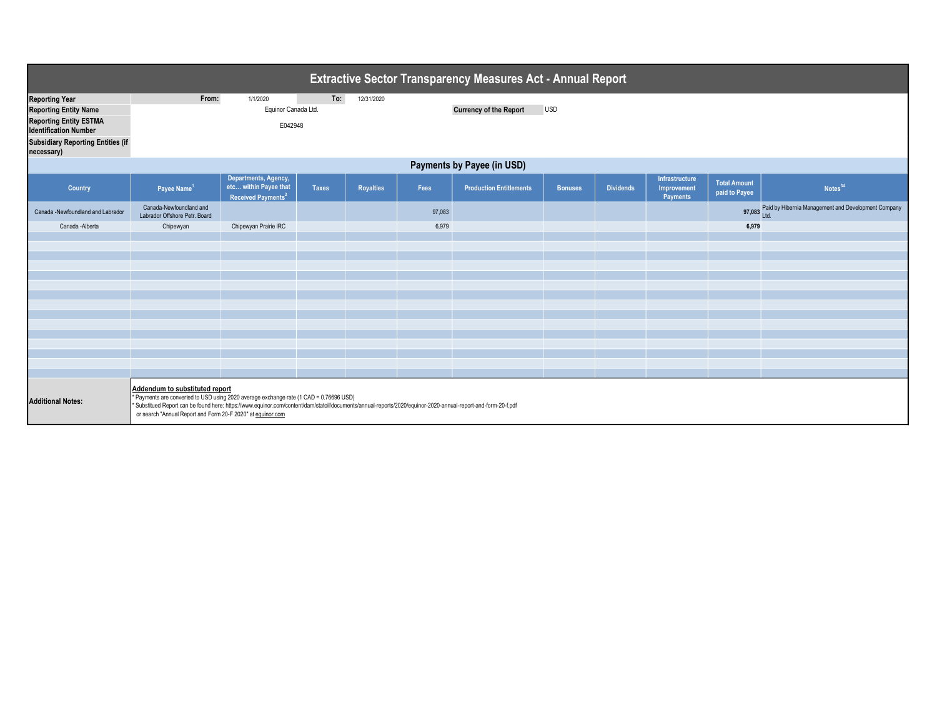| <b>Extractive Sector Transparency Measures Act - Annual Report</b> |                                                                                                                                                                                                                                                                                                                                                          |                                                                                 |              |                  |                                             |                                |                |                  |                                           |                                      |                                                            |
|--------------------------------------------------------------------|----------------------------------------------------------------------------------------------------------------------------------------------------------------------------------------------------------------------------------------------------------------------------------------------------------------------------------------------------------|---------------------------------------------------------------------------------|--------------|------------------|---------------------------------------------|--------------------------------|----------------|------------------|-------------------------------------------|--------------------------------------|------------------------------------------------------------|
| <b>Reporting Year</b>                                              | From:                                                                                                                                                                                                                                                                                                                                                    | 1/1/2020                                                                        | To:          | 12/31/2020       |                                             |                                |                |                  |                                           |                                      |                                                            |
| <b>Reporting Entity Name</b>                                       |                                                                                                                                                                                                                                                                                                                                                          | Equinor Canada Ltd.                                                             |              |                  | <b>USD</b><br><b>Currency of the Report</b> |                                |                |                  |                                           |                                      |                                                            |
| <b>Reporting Entity ESTMA</b><br><b>Identification Number</b>      | E042948                                                                                                                                                                                                                                                                                                                                                  |                                                                                 |              |                  |                                             |                                |                |                  |                                           |                                      |                                                            |
| <b>Subsidiary Reporting Entities (if</b><br>necessary)             |                                                                                                                                                                                                                                                                                                                                                          |                                                                                 |              |                  |                                             |                                |                |                  |                                           |                                      |                                                            |
| Payments by Payee (in USD)                                         |                                                                                                                                                                                                                                                                                                                                                          |                                                                                 |              |                  |                                             |                                |                |                  |                                           |                                      |                                                            |
| Country                                                            | Payee Name <sup>1</sup>                                                                                                                                                                                                                                                                                                                                  | Departments, Agency,<br>etc within Payee that<br>Received Payments <sup>2</sup> | <b>Taxes</b> | <b>Royalties</b> | Fees                                        | <b>Production Entitlements</b> | <b>Bonuses</b> | <b>Dividends</b> | Infrastructure<br>Improvement<br>Payments | <b>Total Amount</b><br>paid to Payee | Notes <sup>34</sup>                                        |
| Canada -Newfoundland and Labrador                                  | Canada-Newfoundland and<br>Labrador Offshore Petr. Board                                                                                                                                                                                                                                                                                                 |                                                                                 |              |                  | 97,083                                      |                                |                |                  |                                           |                                      | 97,083 Paid by Hibernia Management and Development Company |
| Canada - Alberta                                                   | Chipewyan                                                                                                                                                                                                                                                                                                                                                | Chipewyan Prairie IRC<br>6,979<br>6,979                                         |              |                  |                                             |                                |                |                  |                                           |                                      |                                                            |
|                                                                    |                                                                                                                                                                                                                                                                                                                                                          |                                                                                 |              |                  |                                             |                                |                |                  |                                           |                                      |                                                            |
|                                                                    |                                                                                                                                                                                                                                                                                                                                                          |                                                                                 |              |                  |                                             |                                |                |                  |                                           |                                      |                                                            |
|                                                                    |                                                                                                                                                                                                                                                                                                                                                          |                                                                                 |              |                  |                                             |                                |                |                  |                                           |                                      |                                                            |
|                                                                    |                                                                                                                                                                                                                                                                                                                                                          |                                                                                 |              |                  |                                             |                                |                |                  |                                           |                                      |                                                            |
|                                                                    |                                                                                                                                                                                                                                                                                                                                                          |                                                                                 |              |                  |                                             |                                |                |                  |                                           |                                      |                                                            |
|                                                                    |                                                                                                                                                                                                                                                                                                                                                          |                                                                                 |              |                  |                                             |                                |                |                  |                                           |                                      |                                                            |
|                                                                    |                                                                                                                                                                                                                                                                                                                                                          |                                                                                 |              |                  |                                             |                                |                |                  |                                           |                                      |                                                            |
|                                                                    |                                                                                                                                                                                                                                                                                                                                                          |                                                                                 |              |                  |                                             |                                |                |                  |                                           |                                      |                                                            |
|                                                                    |                                                                                                                                                                                                                                                                                                                                                          |                                                                                 |              |                  |                                             |                                |                |                  |                                           |                                      |                                                            |
|                                                                    |                                                                                                                                                                                                                                                                                                                                                          |                                                                                 |              |                  |                                             |                                |                |                  |                                           |                                      |                                                            |
|                                                                    |                                                                                                                                                                                                                                                                                                                                                          |                                                                                 |              |                  |                                             |                                |                |                  |                                           |                                      |                                                            |
|                                                                    |                                                                                                                                                                                                                                                                                                                                                          |                                                                                 |              |                  |                                             |                                |                |                  |                                           |                                      |                                                            |
|                                                                    |                                                                                                                                                                                                                                                                                                                                                          |                                                                                 |              |                  |                                             |                                |                |                  |                                           |                                      |                                                            |
| <b>Additional Notes:</b>                                           | Addendum to substituted report<br>* Payments are converted to USD using 2020 average exchange rate (1 CAD = 0.76696 USD)<br>* Substitued Report can be found here: https://www.equinor.com/content/dam/statoil/documents/annual-reports/2020/equinor-2020-annual-report-and-form-20-f.pdf<br>or search "Annual Report and Form 20-F 2020" at equinor.com |                                                                                 |              |                  |                                             |                                |                |                  |                                           |                                      |                                                            |